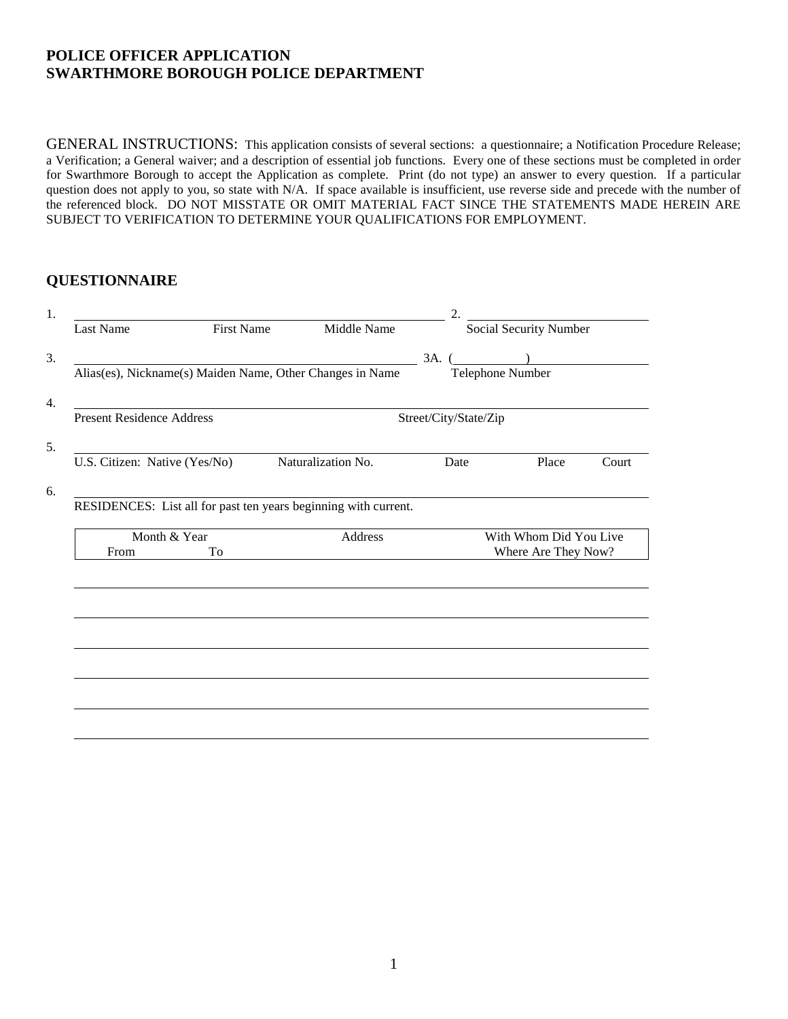### **POLICE OFFICER APPLICATION SWARTHMORE BOROUGH POLICE DEPARTMENT**

GENERAL INSTRUCTIONS: This application consists of several sections: a questionnaire; a Notification Procedure Release; a Verification; a General waiver; and a description of essential job functions. Every one of these sections must be completed in order for Swarthmore Borough to accept the Application as complete. Print (do not type) an answer to every question. If a particular question does not apply to you, so state with N/A. If space available is insufficient, use reverse side and precede with the number of the referenced block. DO NOT MISSTATE OR OMIT MATERIAL FACT SINCE THE STATEMENTS MADE HEREIN ARE SUBJECT TO VERIFICATION TO DETERMINE YOUR QUALIFICATIONS FOR EMPLOYMENT.

### **QUESTIONNAIRE**

| <b>Last Name</b>                 | <b>First Name</b> | Middle Name                                                     |                       | Social Security Number |       |
|----------------------------------|-------------------|-----------------------------------------------------------------|-----------------------|------------------------|-------|
|                                  |                   |                                                                 |                       |                        |       |
|                                  |                   |                                                                 | $3A.$ (               |                        |       |
|                                  |                   | Alias(es), Nickname(s) Maiden Name, Other Changes in Name       | Telephone Number      |                        |       |
| <b>Present Residence Address</b> |                   |                                                                 | Street/City/State/Zip |                        |       |
|                                  |                   |                                                                 |                       |                        |       |
| U.S. Citizen: Native (Yes/No)    |                   | Naturalization No.                                              | Date                  | Place                  | Court |
|                                  |                   |                                                                 |                       |                        |       |
|                                  |                   |                                                                 |                       |                        |       |
|                                  |                   | RESIDENCES: List all for past ten years beginning with current. |                       |                        |       |
|                                  | Month & Year      | Address                                                         |                       | With Whom Did You Live |       |
| From                             | To                |                                                                 |                       | Where Are They Now?    |       |
|                                  |                   |                                                                 |                       |                        |       |
|                                  |                   |                                                                 |                       |                        |       |
|                                  |                   |                                                                 |                       |                        |       |
|                                  |                   |                                                                 |                       |                        |       |
|                                  |                   |                                                                 |                       |                        |       |
|                                  |                   |                                                                 |                       |                        |       |
|                                  |                   |                                                                 |                       |                        |       |
|                                  |                   |                                                                 |                       |                        |       |
|                                  |                   |                                                                 |                       |                        |       |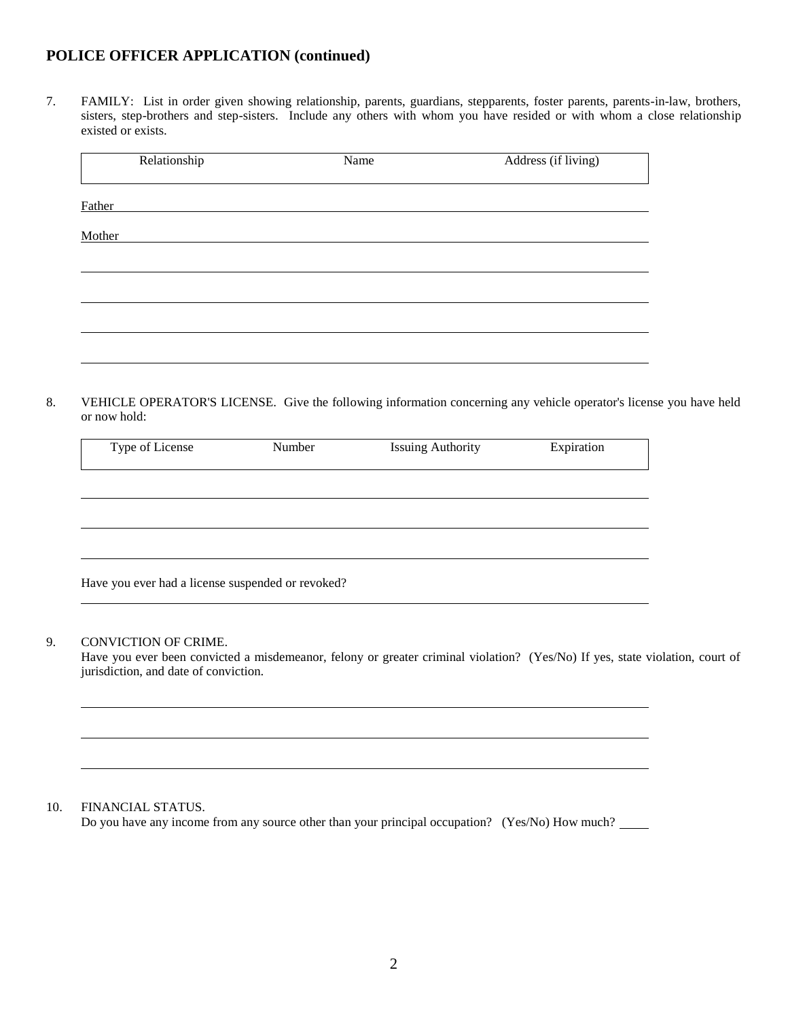7. FAMILY: List in order given showing relationship, parents, guardians, stepparents, foster parents, parents-in-law, brothers, sisters, step-brothers and step-sisters. Include any others with whom you have resided or with whom a close relationship existed or exists.

| Relationship | Name | Address (if living) |
|--------------|------|---------------------|
| Father       |      |                     |
| Mother       |      |                     |
|              |      |                     |
|              |      |                     |
|              |      |                     |
|              |      |                     |

8. VEHICLE OPERATOR'S LICENSE. Give the following information concerning any vehicle operator's license you have held or now hold:

| Type of License                                   | Number | <b>Issuing Authority</b> | Expiration |
|---------------------------------------------------|--------|--------------------------|------------|
|                                                   |        |                          |            |
|                                                   |        |                          |            |
|                                                   |        |                          |            |
|                                                   |        |                          |            |
| Have you ever had a license suspended or revoked? |        |                          |            |

#### 9. CONVICTION OF CRIME.

Have you ever been convicted a misdemeanor, felony or greater criminal violation? (Yes/No) If yes, state violation, court of jurisdiction, and date of conviction.

#### 10. FINANCIAL STATUS.

Do you have any income from any source other than your principal occupation? (Yes/No) How much?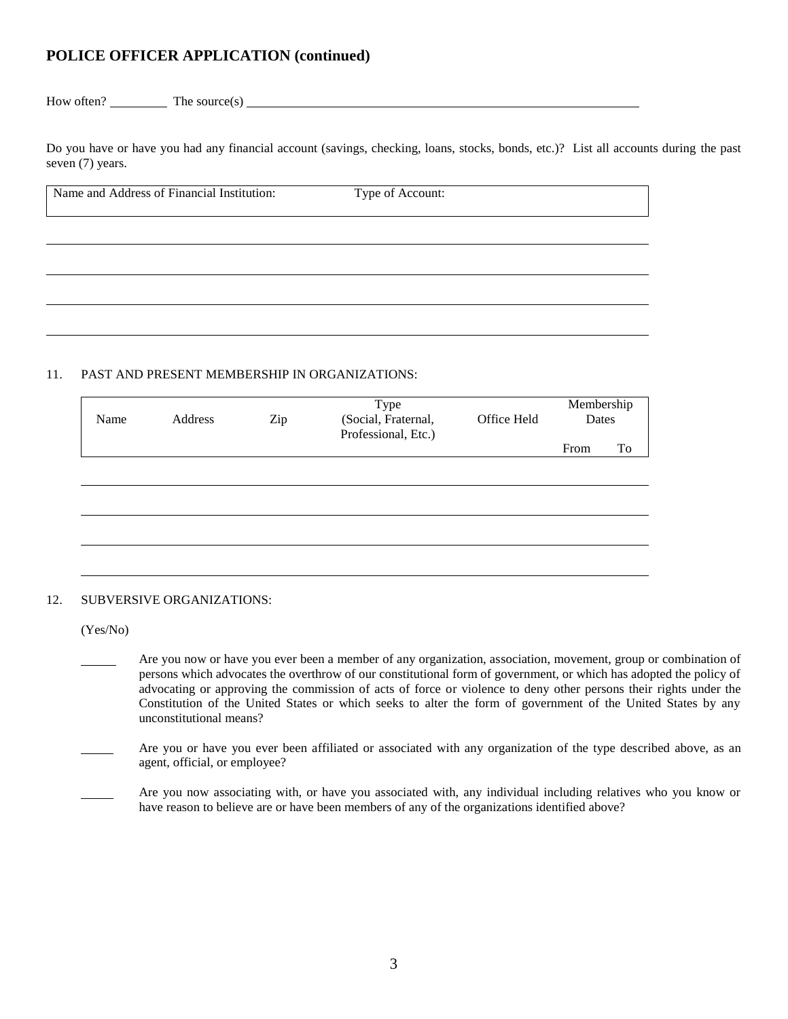$How often?$  The source(s)

Do you have or have you had any financial account (savings, checking, loans, stocks, bonds, etc.)? List all accounts during the past seven (7) years.

| Name and Address of Financial Institution: | Type of Account: |  |
|--------------------------------------------|------------------|--|
|                                            |                  |  |
|                                            |                  |  |
|                                            |                  |  |
|                                            |                  |  |

#### 11. PAST AND PRESENT MEMBERSHIP IN ORGANIZATIONS:

| Name | Address | Zip | Type<br>(Social, Fraternal,<br>Professional, Etc.) | Office Held | Membership<br>Dates |    |
|------|---------|-----|----------------------------------------------------|-------------|---------------------|----|
|      |         |     |                                                    |             | From                | To |
|      |         |     |                                                    |             |                     |    |
|      |         |     |                                                    |             |                     |    |
|      |         |     |                                                    |             |                     |    |
|      |         |     |                                                    |             |                     |    |
|      |         |     |                                                    |             |                     |    |
|      |         |     |                                                    |             |                     |    |

#### 12. SUBVERSIVE ORGANIZATIONS:

(Yes/No)

 Are you now or have you ever been a member of any organization, association, movement, group or combination of persons which advocates the overthrow of our constitutional form of government, or which has adopted the policy of advocating or approving the commission of acts of force or violence to deny other persons their rights under the Constitution of the United States or which seeks to alter the form of government of the United States by any unconstitutional means?

 Are you or have you ever been affiliated or associated with any organization of the type described above, as an agent, official, or employee?

 Are you now associating with, or have you associated with, any individual including relatives who you know or have reason to believe are or have been members of any of the organizations identified above?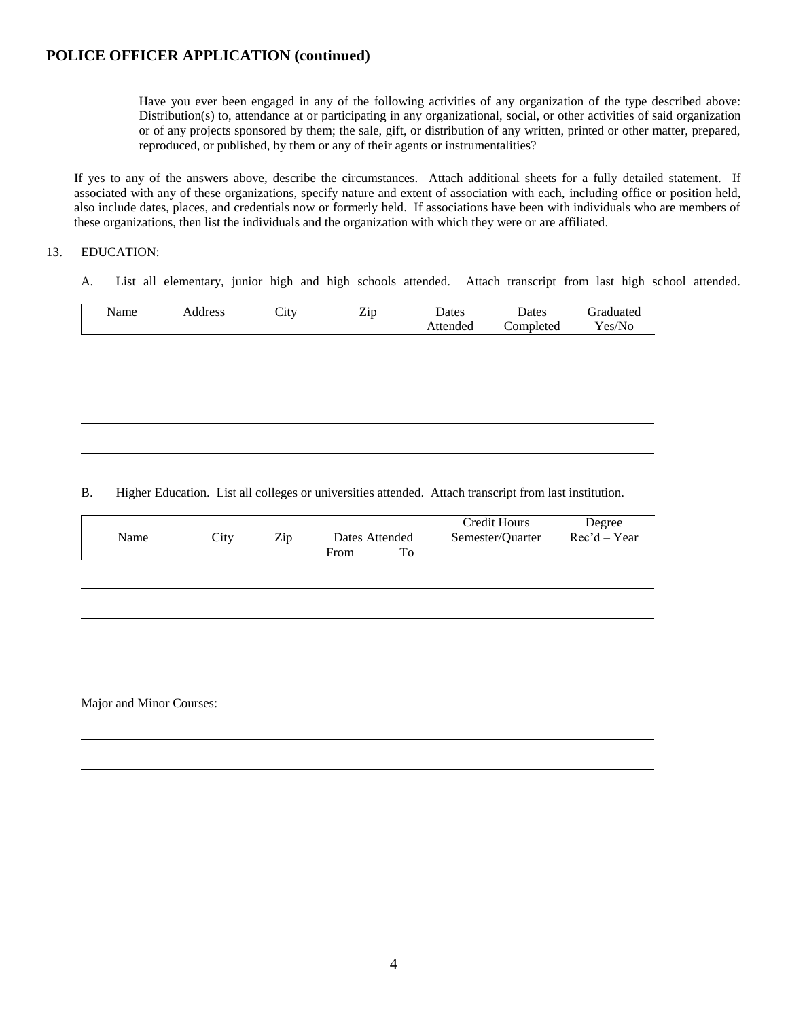

 Have you ever been engaged in any of the following activities of any organization of the type described above: Distribution(s) to, attendance at or participating in any organizational, social, or other activities of said organization or of any projects sponsored by them; the sale, gift, or distribution of any written, printed or other matter, prepared, reproduced, or published, by them or any of their agents or instrumentalities?

If yes to any of the answers above, describe the circumstances. Attach additional sheets for a fully detailed statement. If associated with any of these organizations, specify nature and extent of association with each, including office or position held, also include dates, places, and credentials now or formerly held. If associations have been with individuals who are members of these organizations, then list the individuals and the organization with which they were or are affiliated.

#### 13. EDUCATION:

A. List all elementary, junior high and high schools attended. Attach transcript from last high school attended.

| Name | Address | City | Zip | Dates    | Dates     | Graduated |
|------|---------|------|-----|----------|-----------|-----------|
|      |         |      |     |          |           |           |
|      |         |      |     | Attended | Completed | Yes/No    |
|      |         |      |     |          |           |           |
|      |         |      |     |          |           |           |
|      |         |      |     |          |           |           |
|      |         |      |     |          |           |           |
|      |         |      |     |          |           |           |
|      |         |      |     |          |           |           |
|      |         |      |     |          |           |           |
|      |         |      |     |          |           |           |
|      |         |      |     |          |           |           |
|      |         |      |     |          |           |           |
|      |         |      |     |          |           |           |
|      |         |      |     |          |           |           |

B. Higher Education. List all colleges or universities attended. Attach transcript from last institution.

| Name                     | City | Zip | Dates Attended |    | Credit Hours<br>Semester/Quarter | Degree<br>$Rec'd - Year$ |
|--------------------------|------|-----|----------------|----|----------------------------------|--------------------------|
|                          |      |     | From           | To |                                  |                          |
|                          |      |     |                |    |                                  |                          |
|                          |      |     |                |    |                                  |                          |
|                          |      |     |                |    |                                  |                          |
|                          |      |     |                |    |                                  |                          |
| Major and Minor Courses: |      |     |                |    |                                  |                          |
|                          |      |     |                |    |                                  |                          |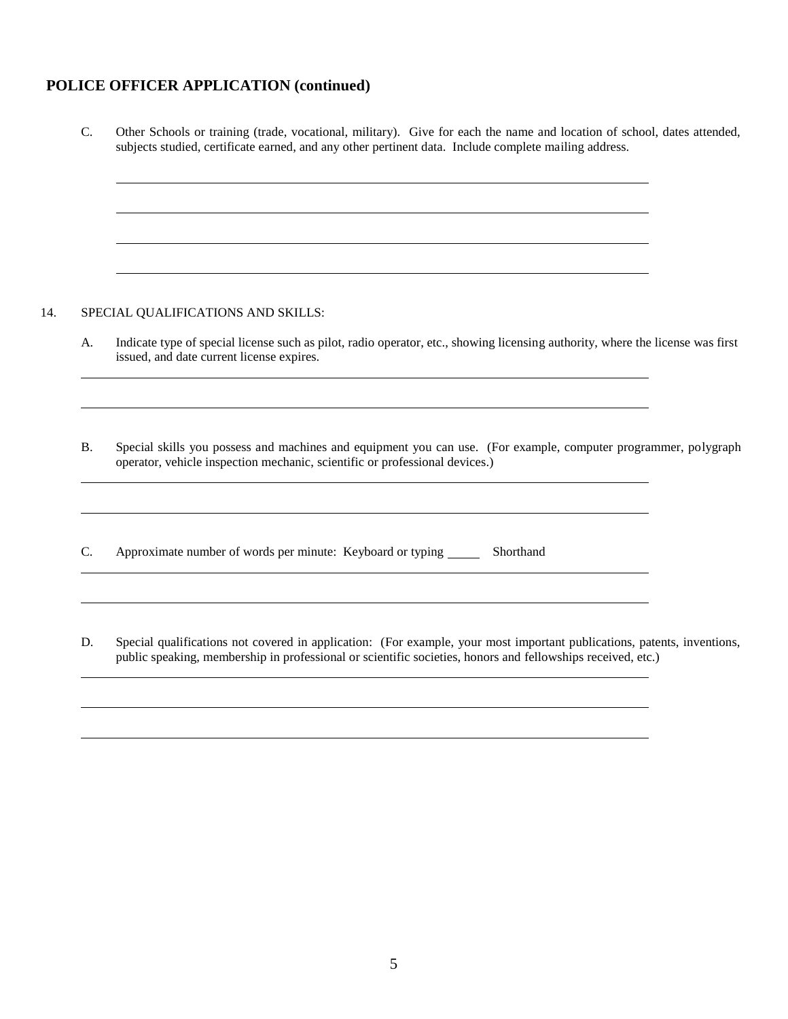C. Other Schools or training (trade, vocational, military). Give for each the name and location of school, dates attended, subjects studied, certificate earned, and any other pertinent data. Include complete mailing address.

#### 14. SPECIAL QUALIFICATIONS AND SKILLS:

A. Indicate type of special license such as pilot, radio operator, etc., showing licensing authority, where the license was first issued, and date current license expires.

B. Special skills you possess and machines and equipment you can use. (For example, computer programmer, polygraph operator, vehicle inspection mechanic, scientific or professional devices.)

C. Approximate number of words per minute: Keyboard or typing \_\_\_\_\_\_\_ Shorthand

D. Special qualifications not covered in application: (For example, your most important publications, patents, inventions, public speaking, membership in professional or scientific societies, honors and fellowships received, etc.)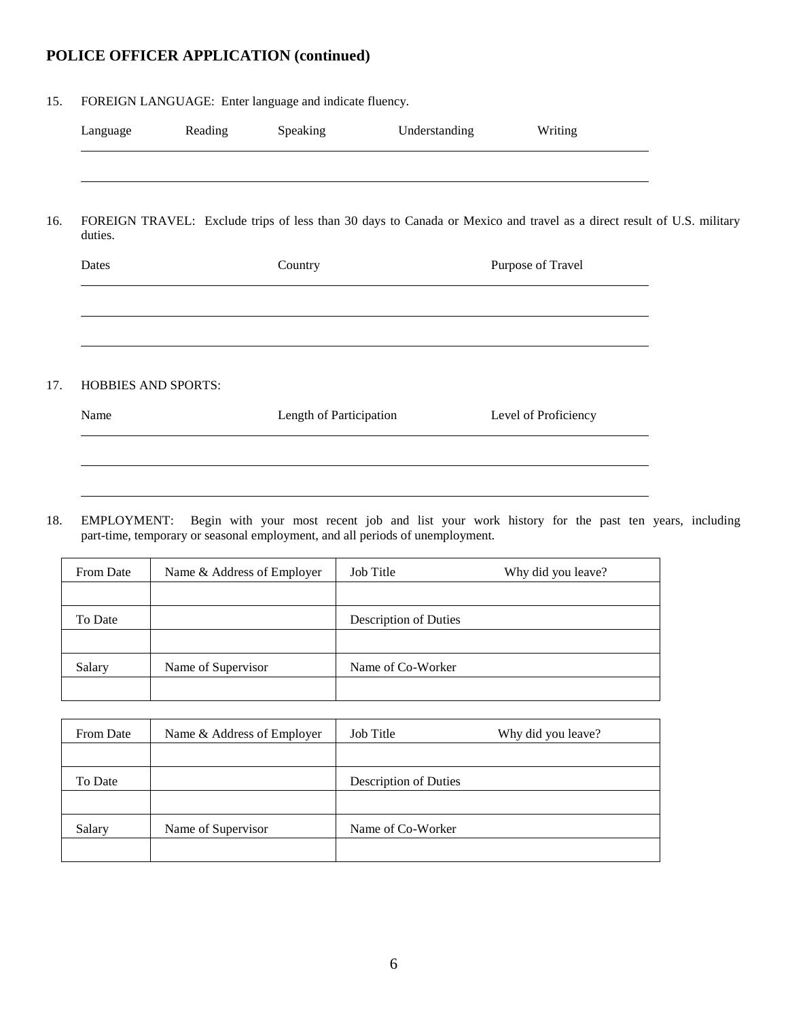#### 15. FOREIGN LANGUAGE: Enter language and indicate fluency.

|                     | Reading | Speaking                                                                                                              | Understanding | Writing              |  |
|---------------------|---------|-----------------------------------------------------------------------------------------------------------------------|---------------|----------------------|--|
|                     |         |                                                                                                                       |               |                      |  |
| duties.             |         | FOREIGN TRAVEL: Exclude trips of less than 30 days to Canada or Mexico and travel as a direct result of U.S. military |               |                      |  |
| Dates               |         | Country                                                                                                               |               | Purpose of Travel    |  |
|                     |         |                                                                                                                       |               |                      |  |
|                     |         |                                                                                                                       |               |                      |  |
|                     |         |                                                                                                                       |               |                      |  |
| HOBBIES AND SPORTS: |         |                                                                                                                       |               |                      |  |
|                     |         | Length of Participation                                                                                               |               | Level of Proficiency |  |

18. EMPLOYMENT: Begin with your most recent job and list your work history for the past ten years, including part-time, temporary or seasonal employment, and all periods of unemployment.

| From Date | Name & Address of Employer | Job Title             | Why did you leave? |
|-----------|----------------------------|-----------------------|--------------------|
|           |                            |                       |                    |
| To Date   |                            | Description of Duties |                    |
|           |                            |                       |                    |
| Salary    | Name of Supervisor         | Name of Co-Worker     |                    |
|           |                            |                       |                    |

| From Date | Name & Address of Employer | Job Title             | Why did you leave? |
|-----------|----------------------------|-----------------------|--------------------|
|           |                            |                       |                    |
| To Date   |                            | Description of Duties |                    |
|           |                            |                       |                    |
| Salary    | Name of Supervisor         | Name of Co-Worker     |                    |
|           |                            |                       |                    |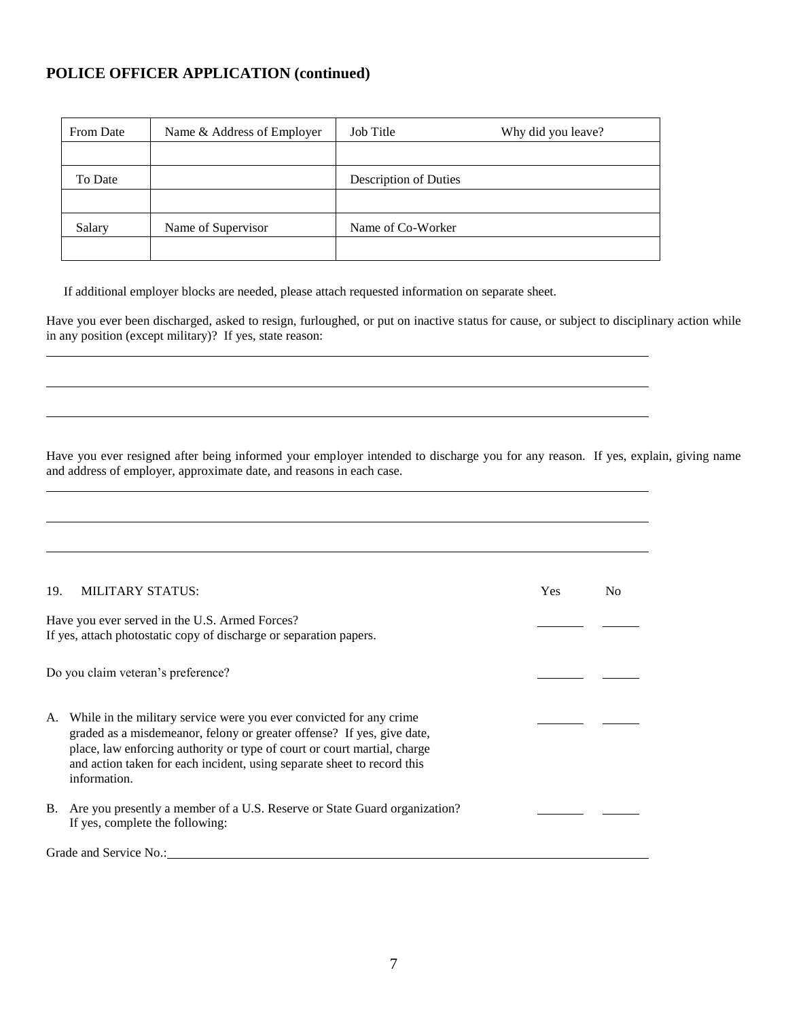| From Date | Name & Address of Employer | Job Title             | Why did you leave? |
|-----------|----------------------------|-----------------------|--------------------|
|           |                            |                       |                    |
| To Date   |                            | Description of Duties |                    |
|           |                            |                       |                    |
| Salary    | Name of Supervisor         | Name of Co-Worker     |                    |
|           |                            |                       |                    |

If additional employer blocks are needed, please attach requested information on separate sheet.

Have you ever been discharged, asked to resign, furloughed, or put on inactive status for cause, or subject to disciplinary action while in any position (except military)? If yes, state reason:

Have you ever resigned after being informed your employer intended to discharge you for any reason. If yes, explain, giving name and address of employer, approximate date, and reasons in each case.

| 19. | MILITARY STATUS:                                                                                                                                                                                                                                                                                                     | <b>Yes</b> | No |
|-----|----------------------------------------------------------------------------------------------------------------------------------------------------------------------------------------------------------------------------------------------------------------------------------------------------------------------|------------|----|
|     | Have you ever served in the U.S. Armed Forces?<br>If yes, attach photostatic copy of discharge or separation papers.                                                                                                                                                                                                 |            |    |
|     | Do you claim veteran's preference?                                                                                                                                                                                                                                                                                   |            |    |
| A.  | While in the military service were you ever convicted for any crime<br>graded as a misdemeanor, felony or greater offense? If yes, give date,<br>place, law enforcing authority or type of court or court martial, charge<br>and action taken for each incident, using separate sheet to record this<br>information. |            |    |
| В.  | Are you presently a member of a U.S. Reserve or State Guard organization?<br>If yes, complete the following:                                                                                                                                                                                                         |            |    |
|     | Grade and Service No.:                                                                                                                                                                                                                                                                                               |            |    |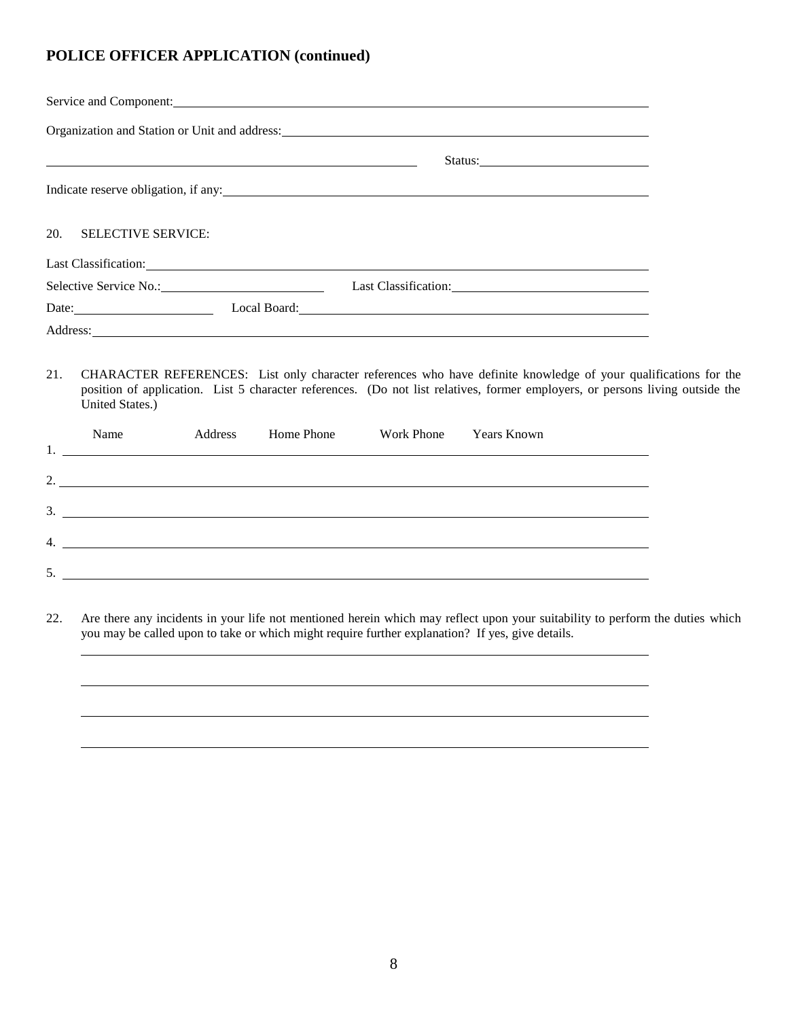| Service and Component: <u>Communications</u> of the service and component of the service and component of the service of the service of the service of the service of the service of the service of the service of the service of t |  |  |  |  |  |  |
|-------------------------------------------------------------------------------------------------------------------------------------------------------------------------------------------------------------------------------------|--|--|--|--|--|--|
|                                                                                                                                                                                                                                     |  |  |  |  |  |  |
|                                                                                                                                                                                                                                     |  |  |  |  |  |  |
| Indicate reserve obligation, if any:                                                                                                                                                                                                |  |  |  |  |  |  |
| 20. SELECTIVE SERVICE:                                                                                                                                                                                                              |  |  |  |  |  |  |
| Last Classification:                                                                                                                                                                                                                |  |  |  |  |  |  |
| Selective Service No.:                                                                                                                                                                                                              |  |  |  |  |  |  |
| Date:                                                                                                                                                                                                                               |  |  |  |  |  |  |
|                                                                                                                                                                                                                                     |  |  |  |  |  |  |

21. CHARACTER REFERENCES: List only character references who have definite knowledge of your qualifications for the position of application. List 5 character references. (Do not list relatives, former employers, or persons living outside the United States.)

| Name | Address | Home Phone Work Phone Years Known |  |
|------|---------|-----------------------------------|--|
|      |         | 2.                                |  |
|      |         |                                   |  |
|      |         | $\frac{3}{2}$                     |  |
|      |         | $4.$ $\overline{\phantom{a}}$     |  |
|      |         |                                   |  |

22. Are there any incidents in your life not mentioned herein which may reflect upon your suitability to perform the duties which you may be called upon to take or which might require further explanation? If yes, give details.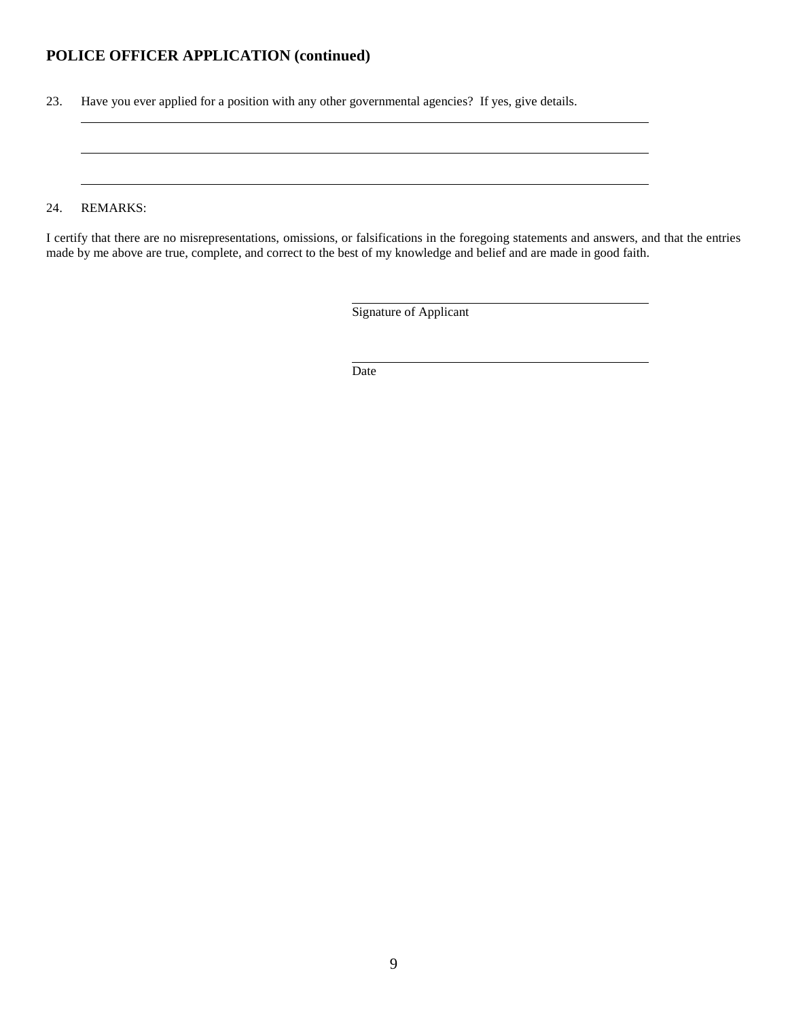23. Have you ever applied for a position with any other governmental agencies? If yes, give details.

#### 24. REMARKS:

I certify that there are no misrepresentations, omissions, or falsifications in the foregoing statements and answers, and that the entries made by me above are true, complete, and correct to the best of my knowledge and belief and are made in good faith.

Signature of Applicant

Date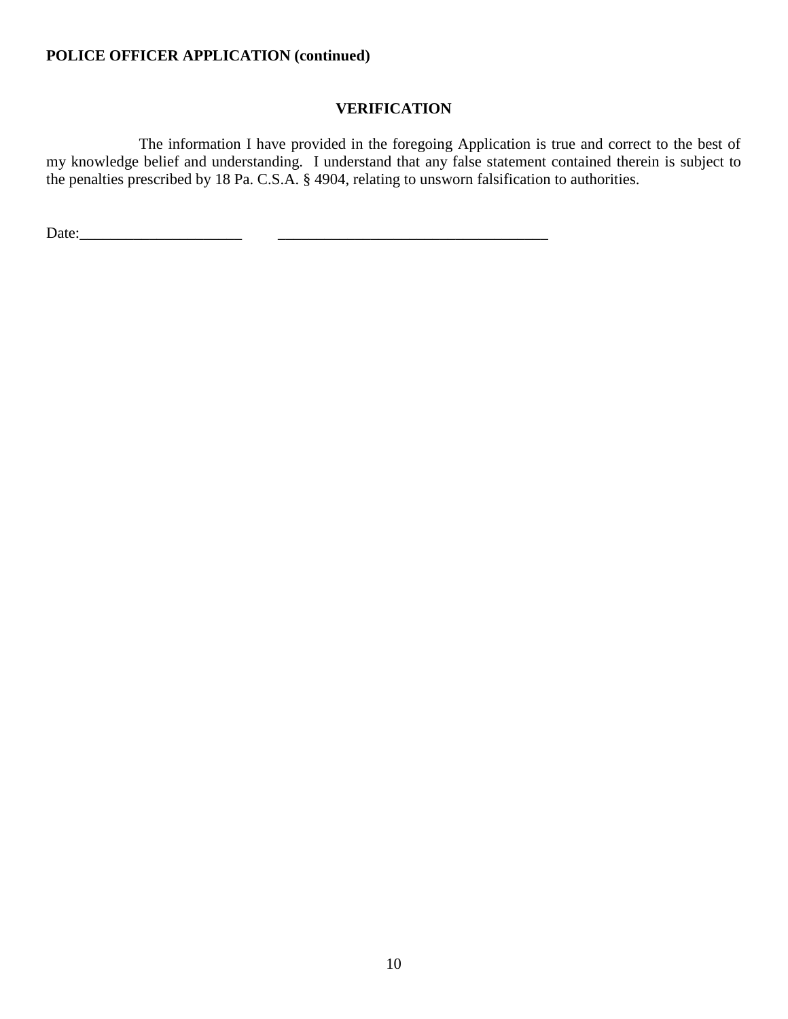## **VERIFICATION**

The information I have provided in the foregoing Application is true and correct to the best of my knowledge belief and understanding. I understand that any false statement contained therein is subject to the penalties prescribed by 18 Pa. C.S.A. § 4904, relating to unsworn falsification to authorities.

Date:\_\_\_\_\_\_\_\_\_\_\_\_\_\_\_\_\_\_\_\_\_ \_\_\_\_\_\_\_\_\_\_\_\_\_\_\_\_\_\_\_\_\_\_\_\_\_\_\_\_\_\_\_\_\_\_\_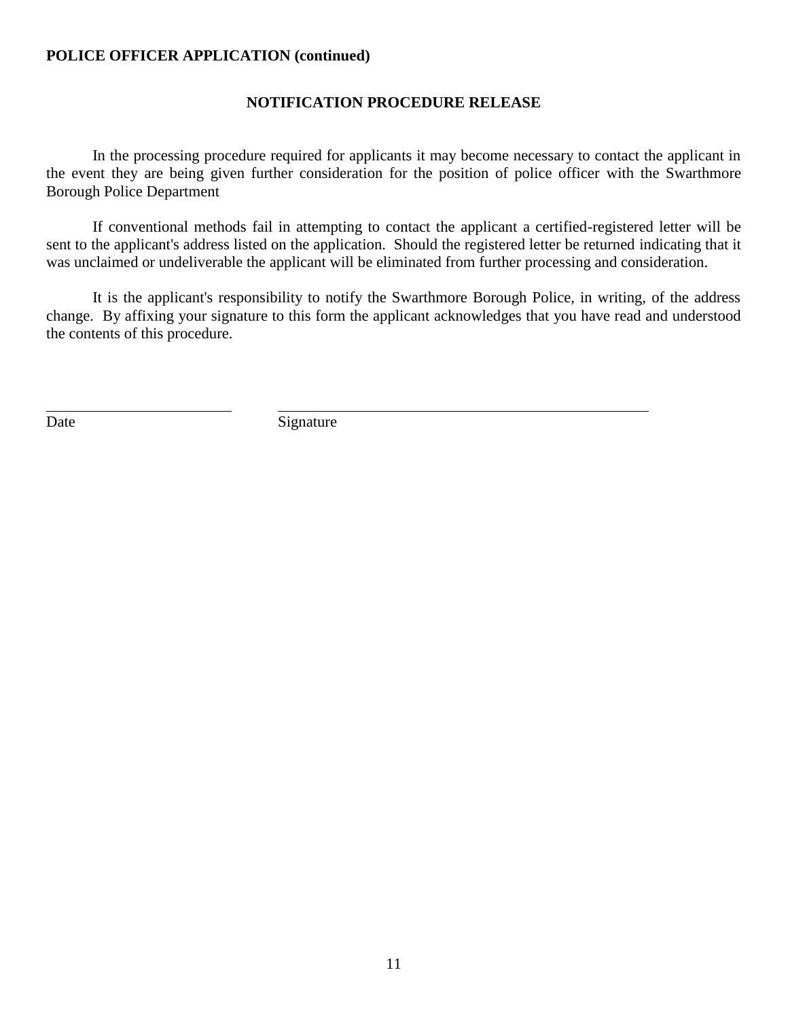## **NOTIFICATION PROCEDURE RELEASE**

In the processing procedure required for applicants it may become necessary to contact the applicant in the event they are being given further consideration for the position of police officer with the Swarthmore Borough Police Department

If conventional methods fail in attempting to contact the applicant a certified-registered letter will be sent to the applicant's address listed on the application. Should the registered letter be returned indicating that it was unclaimed or undeliverable the applicant will be eliminated from further processing and consideration.

It is the applicant's responsibility to notify the Swarthmore Borough Police, in writing, of the address change. By affixing your signature to this form the applicant acknowledges that you have read and understood the contents of this procedure.

Date Signature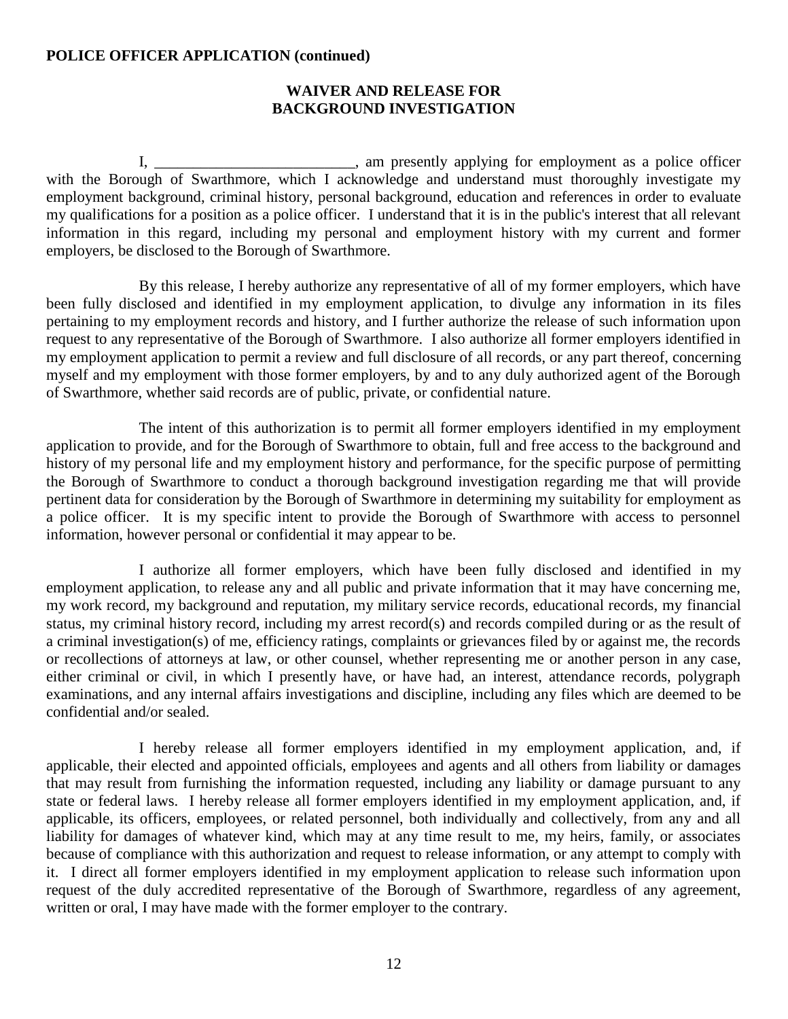### **WAIVER AND RELEASE FOR BACKGROUND INVESTIGATION**

I, \_\_\_\_\_\_\_\_\_\_\_\_\_\_\_\_\_\_\_\_\_\_\_\_, am presently applying for employment as a police officer with the Borough of Swarthmore, which I acknowledge and understand must thoroughly investigate my employment background, criminal history, personal background, education and references in order to evaluate my qualifications for a position as a police officer. I understand that it is in the public's interest that all relevant information in this regard, including my personal and employment history with my current and former employers, be disclosed to the Borough of Swarthmore.

By this release, I hereby authorize any representative of all of my former employers, which have been fully disclosed and identified in my employment application, to divulge any information in its files pertaining to my employment records and history, and I further authorize the release of such information upon request to any representative of the Borough of Swarthmore. I also authorize all former employers identified in my employment application to permit a review and full disclosure of all records, or any part thereof, concerning myself and my employment with those former employers, by and to any duly authorized agent of the Borough of Swarthmore, whether said records are of public, private, or confidential nature.

The intent of this authorization is to permit all former employers identified in my employment application to provide, and for the Borough of Swarthmore to obtain, full and free access to the background and history of my personal life and my employment history and performance, for the specific purpose of permitting the Borough of Swarthmore to conduct a thorough background investigation regarding me that will provide pertinent data for consideration by the Borough of Swarthmore in determining my suitability for employment as a police officer. It is my specific intent to provide the Borough of Swarthmore with access to personnel information, however personal or confidential it may appear to be.

I authorize all former employers, which have been fully disclosed and identified in my employment application, to release any and all public and private information that it may have concerning me, my work record, my background and reputation, my military service records, educational records, my financial status, my criminal history record, including my arrest record(s) and records compiled during or as the result of a criminal investigation(s) of me, efficiency ratings, complaints or grievances filed by or against me, the records or recollections of attorneys at law, or other counsel, whether representing me or another person in any case, either criminal or civil, in which I presently have, or have had, an interest, attendance records, polygraph examinations, and any internal affairs investigations and discipline, including any files which are deemed to be confidential and/or sealed.

I hereby release all former employers identified in my employment application, and, if applicable, their elected and appointed officials, employees and agents and all others from liability or damages that may result from furnishing the information requested, including any liability or damage pursuant to any state or federal laws. I hereby release all former employers identified in my employment application, and, if applicable, its officers, employees, or related personnel, both individually and collectively, from any and all liability for damages of whatever kind, which may at any time result to me, my heirs, family, or associates because of compliance with this authorization and request to release information, or any attempt to comply with it. I direct all former employers identified in my employment application to release such information upon request of the duly accredited representative of the Borough of Swarthmore, regardless of any agreement, written or oral, I may have made with the former employer to the contrary.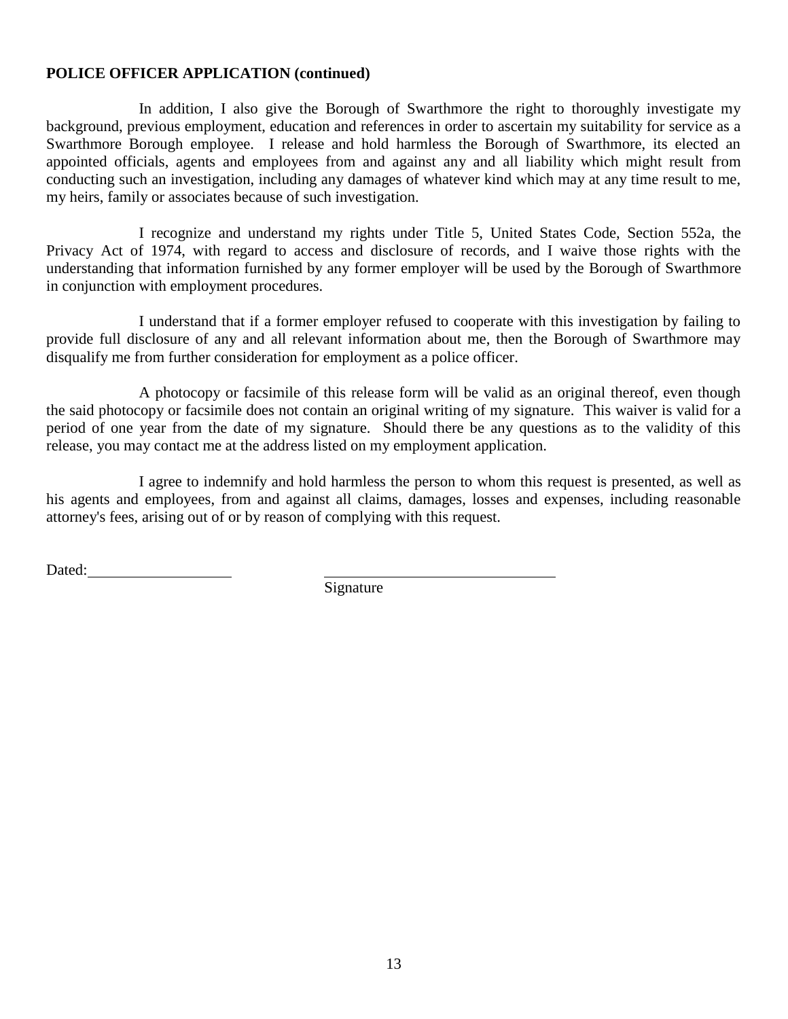In addition, I also give the Borough of Swarthmore the right to thoroughly investigate my background, previous employment, education and references in order to ascertain my suitability for service as a Swarthmore Borough employee. I release and hold harmless the Borough of Swarthmore, its elected an appointed officials, agents and employees from and against any and all liability which might result from conducting such an investigation, including any damages of whatever kind which may at any time result to me, my heirs, family or associates because of such investigation.

I recognize and understand my rights under Title 5, United States Code, Section 552a, the Privacy Act of 1974, with regard to access and disclosure of records, and I waive those rights with the understanding that information furnished by any former employer will be used by the Borough of Swarthmore in conjunction with employment procedures.

I understand that if a former employer refused to cooperate with this investigation by failing to provide full disclosure of any and all relevant information about me, then the Borough of Swarthmore may disqualify me from further consideration for employment as a police officer.

A photocopy or facsimile of this release form will be valid as an original thereof, even though the said photocopy or facsimile does not contain an original writing of my signature. This waiver is valid for a period of one year from the date of my signature. Should there be any questions as to the validity of this release, you may contact me at the address listed on my employment application.

I agree to indemnify and hold harmless the person to whom this request is presented, as well as his agents and employees, from and against all claims, damages, losses and expenses, including reasonable attorney's fees, arising out of or by reason of complying with this request.

Dated:

Signature